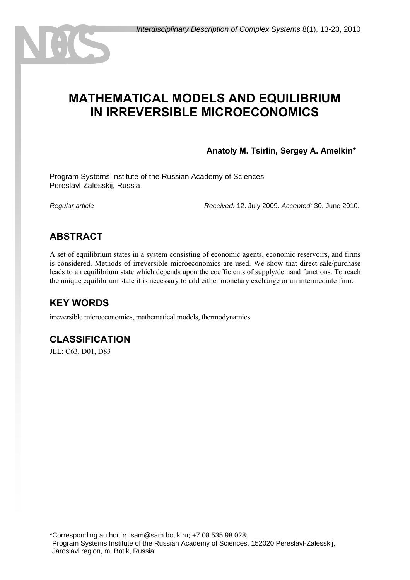# **MATHEMATICAL MODELS AND EQUILIBRIUM IN IRREVERSIBLE MICROECONOMICS**

**Anatoly M. Tsirlin, Sergey A. Amelkin\***

Program Systems Institute of the Russian Academy of Sciences Pereslavl-Zalesskij, Russia

*Regular article Received:* 12. July 2009. *Accepted:* 30. June 2010.

# **ABSTRACT**

A set of equilibrium states in a system consisting of economic agents, economic reservoirs, and firms is considered. Methods of irreversible microeconomics are used. We show that direct sale/purchase leads to an equilibrium state which depends upon the coefficients of supply/demand functions. To reach the unique equilibrium state it is necessary to add either monetary exchange or an intermediate firm.

# **KEY WORDS**

irreversible microeconomics, mathematical models, thermodynamics

# **CLASSIFICATION**

JEL: C63, D01, D83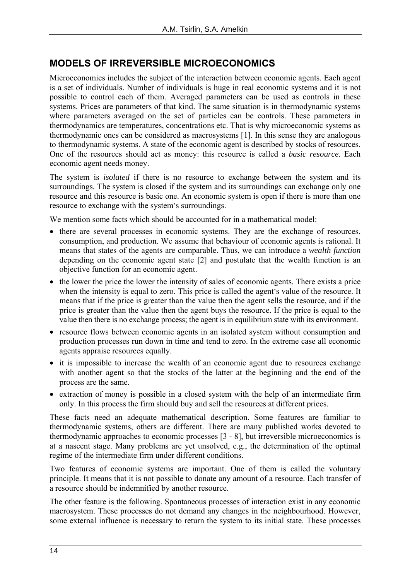# **MODELS OF IRREVERSIBLE MICROECONOMICS**

Microeconomics includes the subject of the interaction between economic agents. Each agent is a set of individuals. Number of individuals is huge in real economic systems and it is not possible to control each of them. Averaged parameters can be used as controls in these systems. Prices are parameters of that kind. The same situation is in thermodynamic systems where parameters averaged on the set of particles can be controls. These parameters in thermodynamics are temperatures, concentrations etc. That is why microeconomic systems as thermodynamic ones can be considered as macrosystems [1]. In this sense they are analogous to thermodynamic systems. A state of the economic agent is described by stocks of resources. One of the resources should act as money: this resource is called a *basic resource*. Each economic agent needs money.

The system is *isolated* if there is no resource to exchange between the system and its surroundings. The system is closed if the system and its surroundings can exchange only one resource and this resource is basic one. An economic system is open if there is more than one resource to exchange with the system's surroundings.

We mention some facts which should be accounted for in a mathematical model:

- there are several processes in economic systems. They are the exchange of resources, consumption, and production. We assume that behaviour of economic agents is rational. It means that states of the agents are comparable. Thus, we can introduce a *wealth function* depending on the economic agent state [2] and postulate that the wealth function is an objective function for an economic agent.
- the lower the price the lower the intensity of sales of economic agents. There exists a price when the intensity is equal to zero. This price is called the agent's value of the resource. It means that if the price is greater than the value then the agent sells the resource, and if the price is greater than the value then the agent buys the resource. If the price is equal to the value then there is no exchange process; the agent is in equilibrium state with its environment.
- resource flows between economic agents in an isolated system without consumption and production processes run down in time and tend to zero. In the extreme case all economic agents appraise resources equally.
- it is impossible to increase the wealth of an economic agent due to resources exchange with another agent so that the stocks of the latter at the beginning and the end of the process are the same.
- extraction of money is possible in a closed system with the help of an intermediate firm only. In this process the firm should buy and sell the resources at different prices.

These facts need an adequate mathematical description. Some features are familiar to thermodynamic systems, others are different. There are many published works devoted to thermodynamic approaches to economic processes [3 - 8], but irreversible microeconomics is at a nascent stage. Many problems are yet unsolved, e.g., the determination of the optimal regime of the intermediate firm under different conditions.

Two features of economic systems are important. One of them is called the voluntary principle. It means that it is not possible to donate any amount of a resource. Each transfer of a resource should be indemnified by another resource.

The other feature is the following. Spontaneous processes of interaction exist in any economic macrosystem. These processes do not demand any changes in the neighbourhood. However, some external influence is necessary to return the system to its initial state. These processes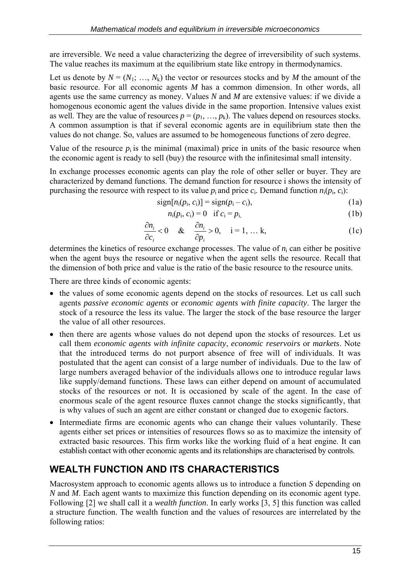are irreversible. We need a value characterizing the degree of irreversibility of such systems. The value reaches its maximum at the equilibrium state like entropy in thermodynamics.

Let us denote by  $N = (N_1; ..., N_k)$  the vector or resources stocks and by M the amount of the basic resource. For all economic agents *M* has a common dimension. In other words, all agents use the same currency as money. Values *N* and *M* are extensive values: if we divide a homogenous economic agent the values divide in the same proportion. Intensive values exist as well. They are the value of resources  $p = (p_1, ..., p_k)$ . The values depend on resources stocks. A common assumption is that if several economic agents are in equilibrium state then the values do not change. So, values are assumed to be homogeneous functions of zero degree.

Value of the resource  $p_i$  is the minimal (maximal) price in units of the basic resource when the economic agent is ready to sell (buy) the resource with the infinitesimal small intensity.

In exchange processes economic agents can play the role of other seller or buyer. They are characterized by demand functions. The demand function for resource i shows the intensity of purchasing the resource with respect to its value  $p_i$  and price  $c_i$ . Demand function  $n_i(p_i, c_i)$ :

$$
sign[n_i(p_i, c_i)] = sign(p_i - c_i), \qquad (1a)
$$

$$
n_i(p_i, c_i) = 0 \quad \text{if } c_i = p_{i,}
$$
 (1b)

$$
\frac{\partial n_i}{\partial c_i} < 0 \quad \& \quad \frac{\partial n_i}{\partial p_i} > 0, \quad i = 1, \dots k,\tag{1c}
$$

determines the kinetics of resource exchange processes. The value of  $n_i$  can either be positive when the agent buys the resource or negative when the agent sells the resource. Recall that the dimension of both price and value is the ratio of the basic resource to the resource units.

There are three kinds of economic agents:

- the values of some economic agents depend on the stocks of resources. Let us call such agents *passive economic agents* or *economic agents with finite capacity*. The larger the stock of a resource the less its value. The larger the stock of the base resource the larger the value of all other resources.
- then there are agents whose values do not depend upon the stocks of resources. Let us call them *economic agents with infinite capacity*, *economic reservoirs* or *markets*. Note that the introduced terms do not purport absence of free will of individuals. It was postulated that the agent can consist of a large number of individuals. Due to the law of large numbers averaged behavior of the individuals allows one to introduce regular laws like supply/demand functions. These laws can either depend on amount of accumulated stocks of the resources or not. It is occasioned by scale of the agent. In the case of enormous scale of the agent resource fluxes cannot change the stocks significantly, that is why values of such an agent are either constant or changed due to exogenic factors.
- Intermediate firms are economic agents who can change their values voluntarily. These agents either set prices or intensities of resources flows so as to maximize the intensity of extracted basic resources. This firm works like the working fluid of a heat engine. It can establish contact with other economic agents and its relationships are characterised by controls.

# **WEALTH FUNCTION AND ITS CHARACTERISTICS**

Macrosystem approach to economic agents allows us to introduce a function *S* depending on *N* and *M*. Each agent wants to maximize this function depending on its economic agent type. Following [2] we shall call it a *wealth function*. In early works [3, 5] this function was called a structure function. The wealth function and the values of resources are interrelated by the following ratios: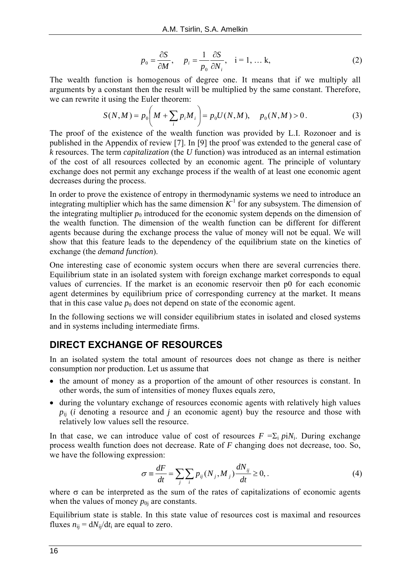$$
p_0 = \frac{\partial S}{\partial M}, \quad p_i = \frac{1}{p_0} \frac{\partial S}{\partial N_i}, \quad i = 1, \dots k,
$$
 (2)

The wealth function is homogenous of degree one. It means that if we multiply all arguments by a constant then the result will be multiplied by the same constant. Therefore, we can rewrite it using the Euler theorem:

$$
S(N,M) = p_0 \bigg( M + \sum_i p_i M_i \bigg) = p_0 U(N,M), \quad p_0(N,M) > 0. \tag{3}
$$

The proof of the existence of the wealth function was provided by L.I. Rozonoer and is published in the Appendix of review [7]. In [9] the proof was extended to the general case of *k* resources. The term *capitalization* (the *U* function) was introduced as an internal estimation of the cost of all resources collected by an economic agent. The principle of voluntary exchange does not permit any exchange process if the wealth of at least one economic agent decreases during the process.

In order to prove the existence of entropy in thermodynamic systems we need to introduce an integrating multiplier which has the same dimension  $K<sup>1</sup>$  for any subsystem. The dimension of the integrating multiplier  $p_0$  introduced for the economic system depends on the dimension of the wealth function. The dimension of the wealth function can be different for different agents because during the exchange process the value of money will not be equal. We will show that this feature leads to the dependency of the equilibrium state on the kinetics of exchange (the *demand function*).

One interesting case of economic system occurs when there are several currencies there. Equilibrium state in an isolated system with foreign exchange market corresponds to equal values of currencies. If the market is an economic reservoir then p0 for each economic agent determines by equilibrium price of corresponding currency at the market. It means that in this case value  $p_0$  does not depend on state of the economic agent.

In the following sections we will consider equilibrium states in isolated and closed systems and in systems including intermediate firms.

# **DIRECT EXCHANGE OF RESOURCES**

In an isolated system the total amount of resources does not change as there is neither consumption nor production. Let us assume that

- the amount of money as a proportion of the amount of other resources is constant. In other words, the sum of intensities of money fluxes equals zero,
- during the voluntary exchange of resources economic agents with relatively high values  $p_{ii}$  (*i* denoting a resource and *j* an economic agent) buy the resource and those with relatively low values sell the resource.

In that case, we can introduce value of cost of resources  $F = \sum_i p_i N_i$ . During exchange process wealth function does not decrease. Rate of *F* changing does not decrease, too. So, we have the following expression:

$$
\sigma \equiv \frac{dF}{dt} = \sum_{j} \sum_{i} p_{ij} (N_j, M_j) \frac{dN_{ij}}{dt} \ge 0, \tag{4}
$$

where  $\sigma$  can be interpreted as the sum of the rates of capitalizations of economic agents when the values of money  $p_{0i}$  are constants.

Equilibrium state is stable. In this state value of resources cost is maximal and resources fluxes  $n_{ii} = dN_{ii}/dt_i$  are equal to zero.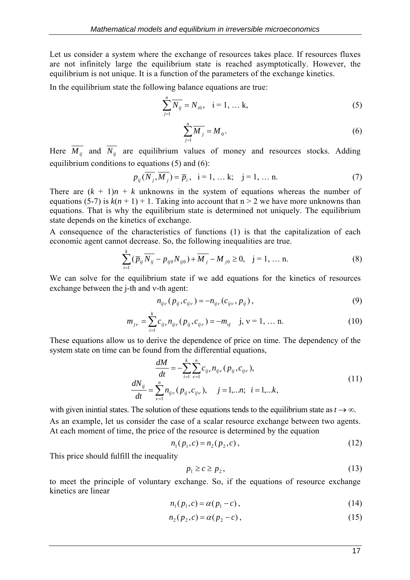Let us consider a system where the exchange of resources takes place. If resources fluxes are not infinitely large the equilibrium state is reached asymptotically. However, the equilibrium is not unique. It is a function of the parameters of the exchange kinetics.

In the equilibrium state the following balance equations are true:

$$
\sum_{j=1}^{n} \overline{N_{ij}} = N_{i0}, \quad i = 1, \dots k,
$$
 (5)

$$
\sum_{j=1}^{n} \overline{M}_{j} = M_{0}.
$$
 (6)

Here  $\overline{M_{ij}}$  and  $\overline{N_{ij}}$  are equilibrium values of money and resources stocks. Adding equilibrium conditions to equations (5) and (6):

$$
p_{ij}(\overline{N_j}, \overline{M_j}) = \overline{p}_i, \quad i = 1, \dots k; \quad j = 1, \dots n. \tag{7}
$$

There are  $(k + 1)n + k$  unknowns in the system of equations whereas the number of equations (5-7) is  $k(n + 1) + 1$ . Taking into account that  $n > 2$  we have more unknowns than equations. That is why the equilibrium state is determined not uniquely. The equilibrium state depends on the kinetics of exchange.

A consequence of the characteristics of functions (1) is that the capitalization of each economic agent cannot decrease. So, the following inequalities are true.

$$
\sum_{i=1}^{k} (\overline{p}_{ij} \overline{N_{ij}} - p_{ij0} N_{ij0}) + \overline{M_j} - M_{j0} \ge 0, \quad j = 1, \dots n.
$$
 (8)

We can solve for the equilibrium state if we add equations for the kinetics of resources exchange between the j-th and ν-th agent:

$$
n_{ij} (p_{ij}, c_{ij} ) = -n_{ij} (c_{ij} , p_{ij}), \qquad (9)
$$

$$
m_{j\nu} = \sum_{i=1}^{k} c_{ij\nu} n_{ij\nu} (p_{ij}, c_{ij\nu}) = -m_{\nu j} \quad j, \nu = 1, \dots n. \tag{10}
$$

These equations allow us to derive the dependence of price on time. The dependency of the system state on time can be found from the differential equations,

$$
\frac{dM}{dt} = -\sum_{i=1}^{k} \sum_{\nu=1}^{n} c_{ij\nu} n_{ij\nu} (p_{ij}, c_{ij\nu}),
$$
\n
$$
\frac{dN_{ij}}{dt} = \sum_{\nu=1}^{n} n_{ij\nu} (p_{ij}, c_{ij\nu}), \quad j = 1,...n; \quad i = 1,...k,
$$
\n(11)

with given inintial states. The solution of these equations tends to the equilibrium state as  $t \to \infty$ . As an example, let us consider the case of a scalar resource exchange between two agents. At each moment of time, the price of the resource is determined by the equation

$$
n_1(p_1, c) = n_2(p_2, c), \tag{12}
$$

This price should fulfill the inequality

$$
p_1 \ge c \ge p_2,\tag{13}
$$

to meet the principle of voluntary exchange. So, if the equations of resource exchange kinetics are linear

$$
n_1(p_1, c) = \alpha(p_1 - c), \qquad (14)
$$

$$
n_2(p_2, c) = \alpha(p_2 - c), \tag{15}
$$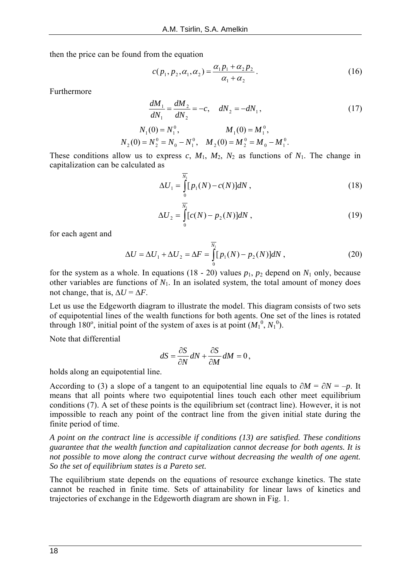then the price can be found from the equation

$$
c(p_1, p_2, \alpha_1, \alpha_2) = \frac{\alpha_1 p_1 + \alpha_2 p_2}{\alpha_1 + \alpha_2}.
$$
 (16)

Furthermore

$$
\frac{dM_1}{dN_1} = \frac{dM_2}{dN_2} = -c, \quad dN_2 = -dN_1,
$$
\n
$$
N_1(0) = N_1^0, \qquad M_1(0) = M_1^0,
$$
\n
$$
N_2(0) = N_2^0 = N_0 - N_1^0, \quad M_2(0) = M_2^0 = M_0 - M_1^0.
$$
\n(17)

These conditions allow us to express *c*,  $M_1$ ,  $M_2$ ,  $N_2$  as functions of  $N_1$ . The change in capitalization can be calculated as

$$
\Delta U_1 = \int_0^{\overline{N_1}} [p_1(N) - c(N)] dN , \qquad (18)
$$

$$
\Delta U_2 = \int_0^{\overline{N_1}} [c(N) - p_2(N)] dN , \qquad (19)
$$

for each agent and

$$
\Delta U = \Delta U_1 + \Delta U_2 = \Delta F = \int_{0}^{\overline{N_1}} [p_1(N) - p_2(N)] dN , \qquad (20)
$$

for the system as a whole. In equations (18 - 20) values  $p_1$ ,  $p_2$  depend on  $N_1$  only, because other variables are functions of  $N_1$ . In an isolated system, the total amount of money does not change, that is,  $\Delta U = \Delta F$ .

Let us use the Edgeworth diagram to illustrate the model. This diagram consists of two sets of equipotential lines of the wealth functions for both agents. One set of the lines is rotated through 180<sup>°</sup>, initial point of the system of axes is at point  $(M_1^0, N_1^0)$ .

Note that differential

$$
dS = \frac{\partial S}{\partial N}dN + \frac{\partial S}{\partial M}dM = 0,
$$

holds along an equipotential line.

According to (3) a slope of a tangent to an equipotential line equals to ∂*M* = ∂*N* = –*p*. It means that all points where two equipotential lines touch each other meet equilibrium conditions (7). A set of these points is the equilibrium set (contract line). However, it is not impossible to reach any point of the contract line from the given initial state during the finite period of time.

*A point on the contract line is accessible if conditions (13) are satisfied. These conditions guarantee that the wealth function and capitalization cannot decrease for both agents. It is not possible to move along the contract curve without decreasing the wealth of one agent. So the set of equilibrium states is a Pareto set.* 

The equilibrium state depends on the equations of resource exchange kinetics. The state cannot be reached in finite time. Sets of attainability for linear laws of kinetics and trajectories of exchange in the Edgeworth diagram are shown in Fig. 1.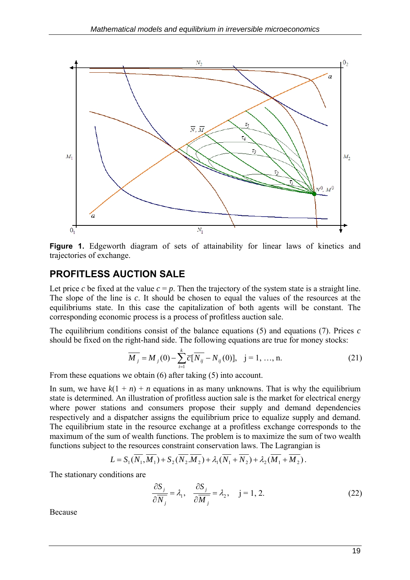

**Figure 1.** Edgeworth diagram of sets of attainability for linear laws of kinetics and trajectories of exchange.

### **PROFITLESS AUCTION SALE**

Let price *c* be fixed at the value  $c = p$ . Then the trajectory of the system state is a straight line. The slope of the line is *c*. It should be chosen to equal the values of the resources at the equilibriums state. In this case the capitalization of both agents will be constant. The corresponding economic process is a process of profitless auction sale.

The equilibrium conditions consist of the balance equations (5) and equations (7). Prices *c* should be fixed on the right-hand side. The following equations are true for money stocks:

$$
\overline{M}_j = M_j(0) - \sum_{i=1}^k \overline{c} [\overline{N_{ij}} - N_{ij}(0)], \quad j = 1, ..., n. \tag{21}
$$

From these equations we obtain (6) after taking (5) into account.

In sum, we have  $k(1 + n) + n$  equations in as many unknowns. That is why the equilibrium state is determined. An illustration of profitless auction sale is the market for electrical energy where power stations and consumers propose their supply and demand dependencies respectively and a dispatcher assigns the equilibrium price to equalize supply and demand. The equilibrium state in the resource exchange at a profitless exchange corresponds to the maximum of the sum of wealth functions. The problem is to maximize the sum of two wealth functions subject to the resources constraint conservation laws. The Lagrangian is

$$
L = S_1(\overline{N_1}, \overline{M_1}) + S_2(\overline{N_2}, \overline{M_2}) + \lambda_1(\overline{N_1} + \overline{N_2}) + \lambda_2(\overline{M_1} + \overline{M_2}).
$$

The stationary conditions are

$$
\frac{\partial S_j}{\partial \overline{N}_j} = \lambda_1, \quad \frac{\partial S_j}{\partial \overline{M}_j} = \lambda_2, \quad j = 1, 2. \tag{22}
$$

Because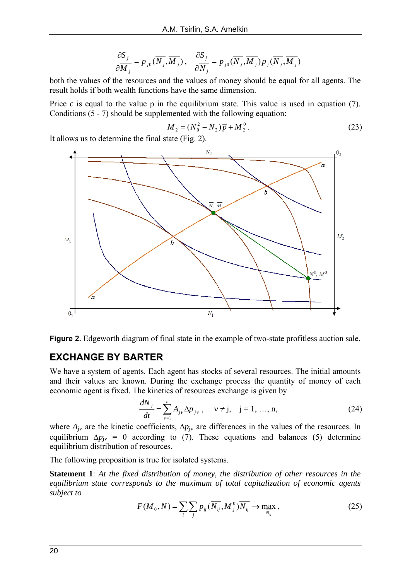$$
\frac{\partial S_j}{\partial \overline{M}_j} = p_{j0}(\overline{N}_j, \overline{M}_j), \quad \frac{\partial S_j}{\partial \overline{N}_j} = p_{j0}(\overline{N}_j, \overline{M}_j) p_j(\overline{N}_j, \overline{M}_j)
$$

both the values of the resources and the values of money should be equal for all agents. The result holds if both wealth functions have the same dimension.

Price  $c$  is equal to the value p in the equilibrium state. This value is used in equation (7). Conditions (5 - 7) should be supplemented with the following equation:

$$
\overline{M_2} = (N_0^2 - \overline{N_2}) \overline{p} + M_2^0.
$$
 (23)

It allows us to determine the final state (Fig. 2).



**Figure 2.** Edgeworth diagram of final state in the example of two-state profitless auction sale.

#### **EXCHANGE BY BARTER**

We have a system of agents. Each agent has stocks of several resources. The initial amounts and their values are known. During the exchange process the quantity of money of each economic agent is fixed. The kinetics of resources exchange is given by

$$
\frac{dN_j}{dt} = \sum_{\nu=1}^n A_{j\nu} \Delta p_{j\nu}, \quad \nu \neq j, \quad j = 1, ..., n,
$$
 (24)

where  $A_{jv}$  are the kinetic coefficients,  $\Delta p_{jv}$  are differences in the values of the resources. In equilibrium  $\Delta p_{iv} = 0$  according to (7). These equations and balances (5) determine equilibrium distribution of resources.

The following proposition is true for isolated systems.

**Statement 1**: *At the fixed distribution of money, the distribution of other resources in the equilibrium state corresponds to the maximum of total capitalization of economic agents subject to* 

$$
F(M_0, \overline{N}) = \sum_i \sum_j p_{ij} (\overline{N_{ij}}, M_j^0) \overline{N_{ij}} \to \max_{\overline{N_{ij}}} ,
$$
 (25)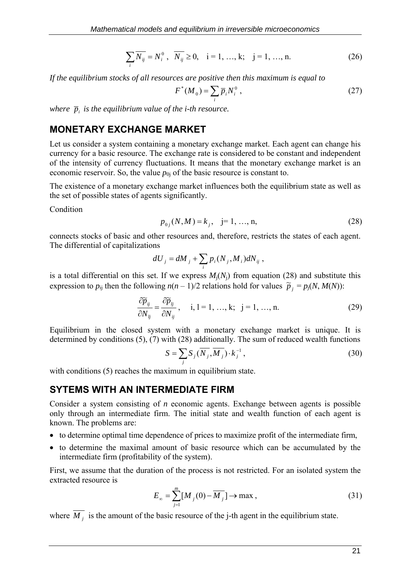$$
\sum_{i} \overline{N_{ij}} = N_i^0, \quad \overline{N_{ij}} \ge 0, \quad i = 1, ..., k; \quad j = 1, ..., n.
$$
 (26)

*If the equilibrium stocks of all resources are positive then this maximum is equal to* 

$$
F^*(M_0) = \sum_i \overline{p}_i N_i^0 , \qquad (27)
$$

*where*  $\bar{p}_i$  *is the equilibrium value of the i-th resource.* 

#### **MONETARY EXCHANGE MARKET**

Let us consider a system containing a monetary exchange market. Each agent can change his currency for a basic resource. The exchange rate is considered to be constant and independent of the intensity of currency fluctuations. It means that the monetary exchange market is an economic reservoir. So, the value  $p_{0j}$  of the basic resource is constant to.

The existence of a monetary exchange market influences both the equilibrium state as well as the set of possible states of agents significantly.

**Condition** 

$$
p_{0j}(N,M) = k_j, \quad j = 1, ..., n,
$$
\n(28)

connects stocks of basic and other resources and, therefore, restricts the states of each agent. The differential of capitalizations

$$
dU_j = dM_j + \sum_i p_i (N_j, M_i) dN_{ij},
$$

is a total differential on this set. If we express  $M_i(N_i)$  from equation (28) and substitute this expression to  $p_{ij}$  then the following  $n(n-1)/2$  relations hold for values  $\tilde{p}_j = p_j(N, M(N))$ :

$$
\frac{\partial \widetilde{p}_{ij}}{\partial N_{ij}} = \frac{\partial \widetilde{p}_{ij}}{\partial N_{ij}}, \quad i, l = 1, ..., k; \quad j = 1, ..., n. \tag{29}
$$

Equilibrium in the closed system with a monetary exchange market is unique. It is determined by conditions (5), (7) with (28) additionally. The sum of reduced wealth functions

$$
S = \sum_{j} S_j(\overline{N_j}, \overline{M_j}) \cdot k_j^{-1}, \qquad (30)
$$

with conditions (5) reaches the maximum in equilibrium state.

#### **SYTEMS WITH AN INTERMEDIATE FIRM**

Consider a system consisting of *n* economic agents. Exchange between agents is possible only through an intermediate firm. The initial state and wealth function of each agent is known. The problems are:

- to determine optimal time dependence of prices to maximize profit of the intermediate firm,
- to determine the maximal amount of basic resource which can be accumulated by the intermediate firm (profitability of the system).

First, we assume that the duration of the process is not restricted. For an isolated system the extracted resource is

$$
E_{\infty} = \sum_{j=1}^{m} [M_j(0) - \overline{M_j}] \to \max , \qquad (31)
$$

where  $\overline{M_i}$  is the amount of the basic resource of the j-th agent in the equilibrium state.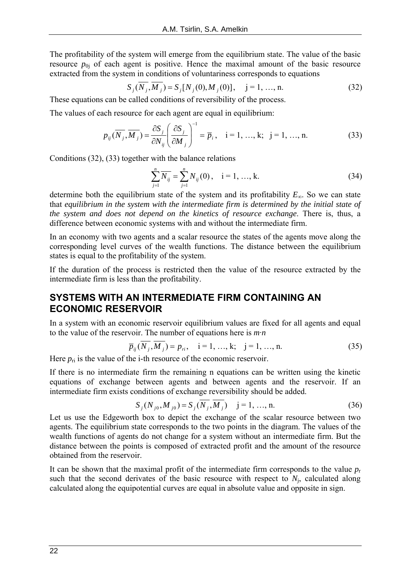The profitability of the system will emerge from the equilibrium state. The value of the basic resource  $p_{0i}$  of each agent is positive. Hence the maximal amount of the basic resource extracted from the system in conditions of voluntariness corresponds to equations

$$
S_j(\overline{N_j}, \overline{M_j}) = S_j[N_j(0), M_j(0)], \quad j = 1, ..., n.
$$
 (32)

These equations can be called conditions of reversibility of the process.

The values of each resource for each agent are equal in equilibrium:

$$
p_{ij}(\overline{N_j}, \overline{M_j}) = \frac{\partial S_j}{\partial N_{ij}} \left(\frac{\partial S_j}{\partial M_j}\right)^{-1} = \overline{p}_i, \quad i = 1, ..., k; \quad j = 1, ..., n. \tag{33}
$$

Conditions (32), (33) together with the balance relations

$$
\sum_{j=1}^{n} \overline{N_{ij}} = \sum_{j=1}^{n} N_{ij}(0), \quad i = 1, ..., k.
$$
 (34)

determine both the equilibrium state of the system and its profitability *E*∞. So we can state that *equilibrium in the system with the intermediate firm is determined by the initial state of the system and does not depend on the kinetics of resource exchange*. There is, thus, a difference between economic systems with and without the intermediate firm.

In an economy with two agents and a scalar resource the states of the agents move along the corresponding level curves of the wealth functions. The distance between the equilibrium states is equal to the profitability of the system.

If the duration of the process is restricted then the value of the resource extracted by the intermediate firm is less than the profitability.

### **SYSTEMS WITH AN INTERMEDIATE FIRM CONTAINING AN ECONOMIC RESERVOIR**

In a system with an economic reservoir equilibrium values are fixed for all agents and equal to the value of the reservoir. The number of equations here is *m*·*n*

$$
\overline{p}_{ij}(\overline{N_j}, \overline{M_j}) = p_{ji}, \quad i = 1, ..., k; \quad j = 1, ..., n.
$$
 (35)

Here  $p_{ri}$  is the value of the i-th resource of the economic reservoir.

If there is no intermediate firm the remaining n equations can be written using the kinetic equations of exchange between agents and between agents and the reservoir. If an intermediate firm exists conditions of exchange reversibility should be added.

$$
S_j(N_{j0}, M_{j0}) = S_j(\overline{N_j}, \overline{M_j}) \quad j = 1, ..., n.
$$
 (36)

Let us use the Edgeworth box to depict the exchange of the scalar resource between two agents. The equilibrium state corresponds to the two points in the diagram. The values of the wealth functions of agents do not change for a system without an intermediate firm. But the distance between the points is composed of extracted profit and the amount of the resource obtained from the reservoir.

It can be shown that the maximal profit of the intermediate firm corresponds to the value  $p<sub>r</sub>$ such that the second derivates of the basic resource with respect to  $N_i$ , calculated along calculated along the equipotential curves are equal in absolute value and opposite in sign.